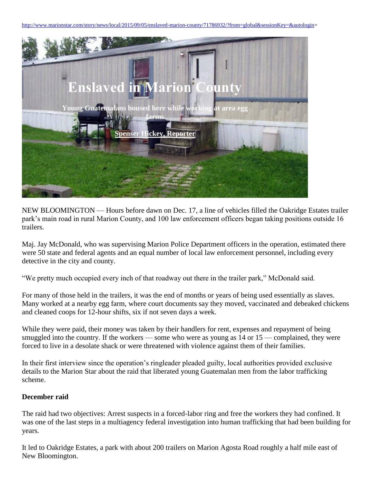[http://www.marionstar.com/story/news/local/2015/09/05/enslaved-marion-county/71786932/?from=global&sessionKey=&autologin=](http://www.marionstar.com/story/news/local/2015/09/05/enslaved-marion-county/71786932/?from=global&sessionKey=&autologin)



NEW BLOOMINGTON — Hours before dawn on Dec. 17, a line of vehicles filled the Oakridge Estates trailer park's main road in rural Marion County, and 100 law enforcement officers began taking positions outside 16 trailers.

Maj. Jay McDonald, who was supervising Marion Police Department officers in the operation, estimated there were 50 state and federal agents and an equal number of local law enforcement personnel, including every detective in the city and county.

"We pretty much occupied every inch of that roadway out there in the trailer park," McDonald said.

For many of those held in the trailers, it was the end of months or years of being used essentially as slaves. Many worked at a nearby egg farm, where court documents say they moved, vaccinated and debeaked chickens and cleaned coops for 12-hour shifts, six if not seven days a week.

While they were paid, their money was taken by their handlers for rent, expenses and repayment of being smuggled into the country. If the workers — some who were as young as 14 or 15 — complained, they were forced to live in a desolate shack or were threatened with violence against them of their families.

In their first interview since the operation's ringleader pleaded guilty, local authorities provided exclusive details to the Marion Star about the raid that liberated young Guatemalan men from the labor trafficking scheme.

#### **December raid**

The raid had two objectives: Arrest suspects in a forced-labor ring and free the workers they had confined. It was one of the last steps in a multiagency federal investigation into human trafficking that had been building for years.

It led to Oakridge Estates, a park with about 200 trailers on Marion Agosta Road roughly a half mile east of New Bloomington.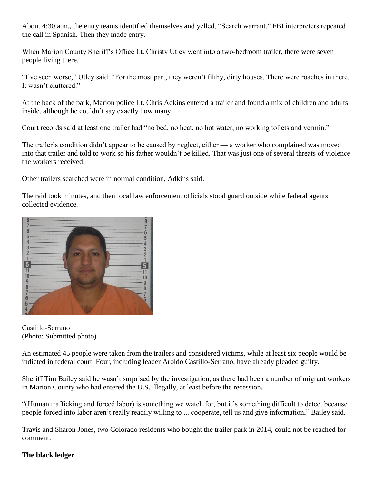About 4:30 a.m., the entry teams identified themselves and yelled, "Search warrant." FBI interpreters repeated the call in Spanish. Then they made entry.

When Marion County Sheriff's Office Lt. Christy Utley went into a two-bedroom trailer, there were seven people living there.

"I've seen worse," Utley said. "For the most part, they weren't filthy, dirty houses. There were roaches in there. It wasn't cluttered."

At the back of the park, Marion police Lt. Chris Adkins entered a trailer and found a mix of children and adults inside, although he couldn't say exactly how many.

Court records said at least one trailer had "no bed, no heat, no hot water, no working toilets and vermin."

The trailer's condition didn't appear to be caused by neglect, either — a worker who complained was moved into that trailer and told to work so his father wouldn't be killed. That was just one of several threats of violence the workers received.

Other trailers searched were in normal condition, Adkins said.

The raid took minutes, and then local law enforcement officials stood guard outside while federal agents collected evidence.



Castillo-Serrano (Photo: Submitted photo)

An estimated 45 people were taken from the trailers and considered victims, while at least six people would be indicted in federal court. Four, including leader Aroldo Castillo-Serrano, have already pleaded guilty.

Sheriff Tim Bailey said he wasn't surprised by the investigation, as there had been a number of migrant workers in Marion County who had entered the U.S. illegally, at least before the recession.

"(Human trafficking and forced labor) is something we watch for, but it's something difficult to detect because people forced into labor aren't really readily willing to ... cooperate, tell us and give information," Bailey said.

Travis and Sharon Jones, two Colorado residents who bought the trailer park in 2014, could not be reached for comment.

# **The black ledger**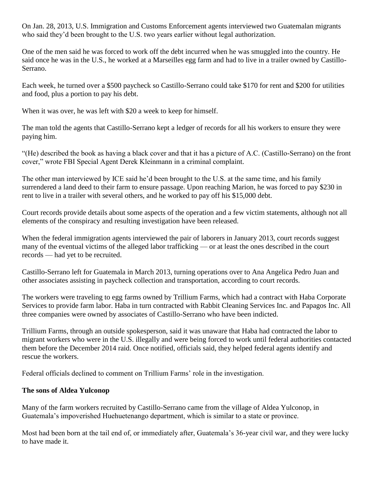On Jan. 28, 2013, U.S. Immigration and Customs Enforcement agents interviewed two Guatemalan migrants who said they'd been brought to the U.S. two years earlier without legal authorization.

One of the men said he was forced to work off the debt incurred when he was smuggled into the country. He said once he was in the U.S., he worked at a Marseilles egg farm and had to live in a trailer owned by Castillo-Serrano.

Each week, he turned over a \$500 paycheck so Castillo-Serrano could take \$170 for rent and \$200 for utilities and food, plus a portion to pay his debt.

When it was over, he was left with \$20 a week to keep for himself.

The man told the agents that Castillo-Serrano kept a ledger of records for all his workers to ensure they were paying him.

"(He) described the book as having a black cover and that it has a picture of A.C. (Castillo-Serrano) on the front cover," wrote FBI Special Agent Derek Kleinmann in a criminal complaint.

The other man interviewed by ICE said he'd been brought to the U.S. at the same time, and his family surrendered a land deed to their farm to ensure passage. Upon reaching Marion, he was forced to pay \$230 in rent to live in a trailer with several others, and he worked to pay off his \$15,000 debt.

Court records provide details about some aspects of the operation and a few victim statements, although not all elements of the conspiracy and resulting investigation have been released.

When the federal immigration agents interviewed the pair of laborers in January 2013, court records suggest many of the eventual victims of the alleged labor trafficking — or at least the ones described in the court records — had yet to be recruited.

Castillo-Serrano left for Guatemala in March 2013, turning operations over to Ana Angelica Pedro Juan and other associates assisting in paycheck collection and transportation, according to court records.

The workers were traveling to egg farms owned by Trillium Farms, which had a contract with Haba Corporate Services to provide farm labor. Haba in turn contracted with Rabbit Cleaning Services Inc. and Papagos Inc. All three companies were owned by associates of Castillo-Serrano who have been indicted.

Trillium Farms, through an outside spokesperson, said it was unaware that Haba had contracted the labor to migrant workers who were in the U.S. illegally and were being forced to work until federal authorities contacted them before the December 2014 raid. Once notified, officials said, they helped federal agents identify and rescue the workers.

Federal officials declined to comment on Trillium Farms' role in the investigation.

## **The sons of Aldea Yulconop**

Many of the farm workers recruited by Castillo-Serrano came from the village of Aldea Yulconop, in Guatemala's impoverished Huehuetenango department, which is similar to a state or province.

Most had been born at the tail end of, or immediately after, Guatemala's 36-year civil war, and they were lucky to have made it.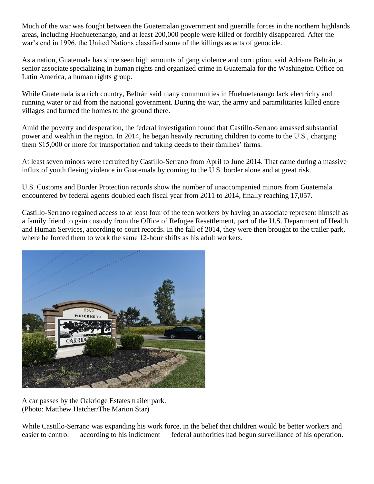Much of the war was fought between the Guatemalan government and guerrilla forces in the northern highlands areas, including Huehuetenango, and at least 200,000 people were killed or forcibly disappeared. After the war's end in 1996, the United Nations classified some of the killings as acts of genocide.

As a nation, Guatemala has since seen high amounts of gang violence and corruption, said Adriana Beltrán, a senior associate specializing in human rights and organized crime in Guatemala for the Washington Office on Latin America, a human rights group.

While Guatemala is a rich country, Beltrán said many communities in Huehuetenango lack electricity and running water or aid from the national government. During the war, the army and paramilitaries killed entire villages and burned the homes to the ground there.

Amid the poverty and desperation, the federal investigation found that Castillo-Serrano amassed substantial power and wealth in the region. In 2014, he began heavily recruiting children to come to the U.S., charging them \$15,000 or more for transportation and taking deeds to their families' farms.

At least seven minors were recruited by Castillo-Serrano from April to June 2014. That came during a massive influx of youth fleeing violence in Guatemala by coming to the U.S. border alone and at great risk.

U.S. Customs and Border Protection records show the number of unaccompanied minors from Guatemala encountered by federal agents doubled each fiscal year from 2011 to 2014, finally reaching 17,057.

Castillo-Serrano regained access to at least four of the teen workers by having an associate represent himself as a family friend to gain custody from the Office of Refugee Resettlement, part of the U.S. Department of Health and Human Services, according to court records. In the fall of 2014, they were then brought to the trailer park, where he forced them to work the same 12-hour shifts as his adult workers.



A car passes by the Oakridge Estates trailer park. (Photo: Matthew Hatcher/The Marion Star)

While Castillo-Serrano was expanding his work force, in the belief that children would be better workers and easier to control — according to his indictment — federal authorities had begun surveillance of his operation.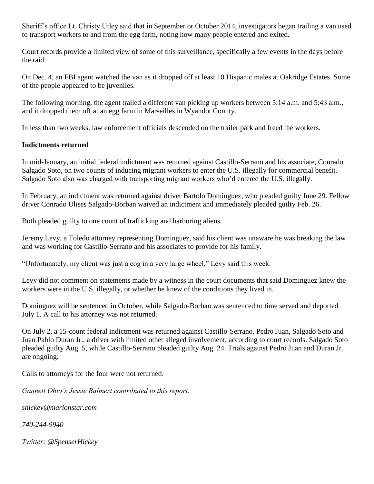Sheriff's office Lt. Christy Utley said that in September or October 2014, investigators began trailing a van used to transport workers to and from the egg farm, noting how many people entered and exited.

Court records provide a limited view of some of this surveillance, specifically a few events in the days before the raid.

On Dec. 4, an FBI agent watched the van as it dropped off at least 10 Hispanic males at Oakridge Estates. Some of the people appeared to be juveniles.

The following morning, the agent trailed a different van picking up workers between 5:14 a.m. and 5:43 a.m., and it dropped them off at an egg farm in Marseilles in Wyandot County.

In less than two weeks, law enforcement officials descended on the trailer park and freed the workers.

## **Indictments returned**

In mid-January, an initial federal indictment was returned against Castillo-Serrano and his associate, Conrado Salgado Soto, on two counts of inducing migrant workers to enter the U.S. illegally for commercial benefit. Salgado Soto also was charged with transporting migrant workers who'd entered the U.S. illegally.

In February, an indictment was returned against driver Bartolo Dominguez, who pleaded guilty June 29. Fellow driver Conrado Ulises Salgado-Borban waived an indictment and immediately pleaded guilty Feb. 26.

Both pleaded guilty to one count of trafficking and harboring aliens.

Jeremy Levy, a Toledo attorney representing Dominguez, said his client was unaware he was breaking the law and was working for Castillo-Serrano and his associates to provide for his family.

"Unfortunately, my client was just a cog in a very large wheel," Levy said this week.

Levy did not comment on statements made by a witness in the court documents that said Dominguez knew the workers were in the U.S. illegally, or whether he knew of the conditions they lived in.

Dominguez will be sentenced in October, while Salgado-Borban was sentenced to time served and deported July 1. A call to his attorney was not returned.

On July 2, a 15-count federal indictment was returned against Castillo-Serrano, Pedro Juan, Salgado Soto and Juan Pablo Duran Jr., a driver with limited other alleged involvement, according to court records. Salgado Soto pleaded guilty Aug. 5, while Castillo-Serrano pleaded guilty Aug. 24. Trials against Pedro Juan and Duran Jr. are ongoing.

Calls to attorneys for the four were not returned.

*Gannett Ohio's Jessie Balmert contributed to this report.*

*shickey@marionstar.com*

*740-244-9940*

*Twitter: @SpenserHickey*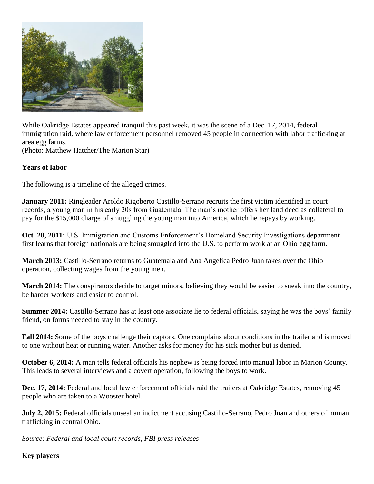

While Oakridge Estates appeared tranquil this past week, it was the scene of a Dec. 17, 2014, federal immigration raid, where law enforcement personnel removed 45 people in connection with labor trafficking at area egg farms.

(Photo: Matthew Hatcher/The Marion Star)

## **Years of labor**

The following is a timeline of the alleged crimes.

**January 2011:** Ringleader Aroldo Rigoberto Castillo-Serrano recruits the first victim identified in court records, a young man in his early 20s from Guatemala. The man's mother offers her land deed as collateral to pay for the \$15,000 charge of smuggling the young man into America, which he repays by working.

**Oct. 20, 2011:** U.S. Immigration and Customs Enforcement's Homeland Security Investigations department first learns that foreign nationals are being smuggled into the U.S. to perform work at an Ohio egg farm.

**March 2013:** Castillo-Serrano returns to Guatemala and Ana Angelica Pedro Juan takes over the Ohio operation, collecting wages from the young men.

**March 2014:** The conspirators decide to target minors, believing they would be easier to sneak into the country, be harder workers and easier to control.

**Summer 2014:** Castillo-Serrano has at least one associate lie to federal officials, saying he was the boys' family friend, on forms needed to stay in the country.

**Fall 2014:** Some of the boys challenge their captors. One complains about conditions in the trailer and is moved to one without heat or running water. Another asks for money for his sick mother but is denied.

**October 6, 2014:** A man tells federal officials his nephew is being forced into manual labor in Marion County. This leads to several interviews and a covert operation, following the boys to work.

**Dec. 17, 2014:** Federal and local law enforcement officials raid the trailers at Oakridge Estates, removing 45 people who are taken to a Wooster hotel.

**July 2, 2015:** Federal officials unseal an indictment accusing Castillo-Serrano, Pedro Juan and others of human trafficking in central Ohio.

*Source: Federal and local court records, FBI press releases*

**Key players**